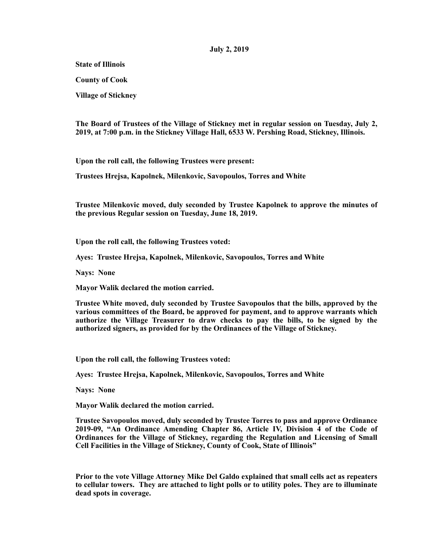## **July 2, 2019**

**State of Illinois** 

**County of Cook** 

**Village of Stickney** 

**The Board of Trustees of the Village of Stickney met in regular session on Tuesday, July 2, 2019, at 7:00 p.m. in the Stickney Village Hall, 6533 W. Pershing Road, Stickney, Illinois.** 

**Upon the roll call, the following Trustees were present:** 

**Trustees Hrejsa, Kapolnek, Milenkovic, Savopoulos, Torres and White** 

**Trustee Milenkovic moved, duly seconded by Trustee Kapolnek to approve the minutes of the previous Regular session on Tuesday, June 18, 2019.** 

**Upon the roll call, the following Trustees voted:** 

**Ayes: Trustee Hrejsa, Kapolnek, Milenkovic, Savopoulos, Torres and White** 

**Nays: None** 

**Mayor Walik declared the motion carried.** 

**Trustee White moved, duly seconded by Trustee Savopoulos that the bills, approved by the various committees of the Board, be approved for payment, and to approve warrants which authorize the Village Treasurer to draw checks to pay the bills, to be signed by the authorized signers, as provided for by the Ordinances of the Village of Stickney.** 

**Upon the roll call, the following Trustees voted:** 

**Ayes: Trustee Hrejsa, Kapolnek, Milenkovic, Savopoulos, Torres and White** 

**Nays: None** 

**Mayor Walik declared the motion carried.** 

**Trustee Savopoulos moved, duly seconded by Trustee Torres to pass and approve Ordinance 2019-09, "An Ordinance Amending Chapter 86, Article IV, Division 4 of the Code of Ordinances for the Village of Stickney, regarding the Regulation and Licensing of Small Cell Facilities in the Village of Stickney, County of Cook, State of Illinois"** 

**Prior to the vote Village Attorney Mike Del Galdo explained that small cells act as repeaters to cellular towers. They are attached to light polls or to utility poles. They are to illuminate dead spots in coverage.**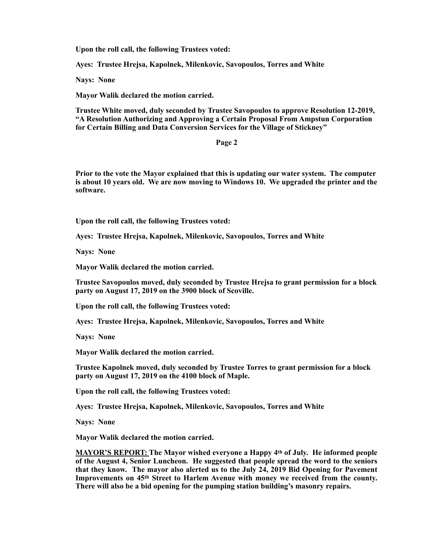**Upon the roll call, the following Trustees voted:** 

**Ayes: Trustee Hrejsa, Kapolnek, Milenkovic, Savopoulos, Torres and White** 

**Nays: None** 

**Mayor Walik declared the motion carried.** 

**Trustee White moved, duly seconded by Trustee Savopoulos to approve Resolution 12-2019, "A Resolution Authorizing and Approving a Certain Proposal From Ampstun Corporation for Certain Billing and Data Conversion Services for the Village of Stickney"** 

**Page 2** 

**Prior to the vote the Mayor explained that this is updating our water system. The computer is about 10 years old. We are now moving to Windows 10. We upgraded the printer and the software.** 

**Upon the roll call, the following Trustees voted:** 

**Ayes: Trustee Hrejsa, Kapolnek, Milenkovic, Savopoulos, Torres and White** 

**Nays: None** 

**Mayor Walik declared the motion carried.** 

**Trustee Savopoulos moved, duly seconded by Trustee Hrejsa to grant permission for a block party on August 17, 2019 on the 3900 block of Scoville.** 

**Upon the roll call, the following Trustees voted:** 

**Ayes: Trustee Hrejsa, Kapolnek, Milenkovic, Savopoulos, Torres and White** 

**Nays: None** 

**Mayor Walik declared the motion carried.** 

**Trustee Kapolnek moved, duly seconded by Trustee Torres to grant permission for a block party on August 17, 2019 on the 4100 block of Maple.** 

**Upon the roll call, the following Trustees voted:** 

**Ayes: Trustee Hrejsa, Kapolnek, Milenkovic, Savopoulos, Torres and White** 

**Nays: None** 

**Mayor Walik declared the motion carried.** 

**MAYOR'S REPORT: The Mayor wished everyone a Happy 4th of July. He informed people of the August 4, Senior Luncheon. He suggested that people spread the word to the seniors that they know. The mayor also alerted us to the July 24, 2019 Bid Opening for Pavement Improvements on 45th Street to Harlem Avenue with money we received from the county. There will also be a bid opening for the pumping station building's masonry repairs.**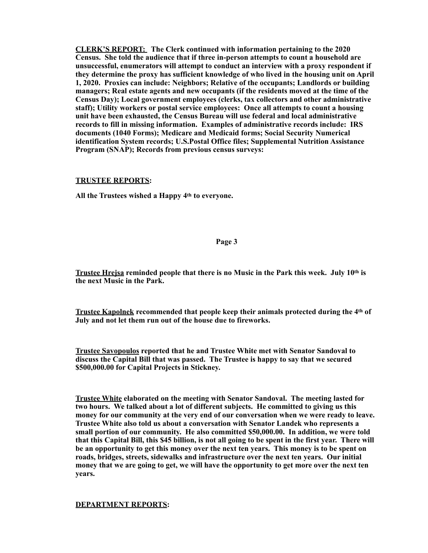**CLERK'S REPORT: The Clerk continued with information pertaining to the 2020 Census. She told the audience that if three in-person attempts to count a household are unsuccessful, enumerators will attempt to conduct an interview with a proxy respondent if they determine the proxy has sufficient knowledge of who lived in the housing unit on April 1, 2020. Proxies can include: Neighbors; Relative of the occupants; Landlords or building managers; Real estate agents and new occupants (if the residents moved at the time of the Census Day); Local government employees (clerks, tax collectors and other administrative staff); Utility workers or postal service employees: Once all attempts to count a housing unit have been exhausted, the Census Bureau will use federal and local administrative records to fill in missing information. Examples of administrative records include: IRS documents (1040 Forms); Medicare and Medicaid forms; Social Security Numerical identification System records; U.S.Postal Office files; Supplemental Nutrition Assistance Program (SNAP); Records from previous census surveys:** 

## **TRUSTEE REPORTS:**

**All the Trustees wished a Happy 4th to everyone.** 

## **Page 3**

**Trustee Hrejsa reminded people that there is no Music in the Park this week. July 10th is the next Music in the Park.** 

**Trustee Kapolnek recommended that people keep their animals protected during the 4th of July and not let them run out of the house due to fireworks.** 

**Trustee Savopoulos reported that he and Trustee White met with Senator Sandoval to discuss the Capital Bill that was passed. The Trustee is happy to say that we secured \$500,000.00 for Capital Projects in Stickney.** 

**Trustee White elaborated on the meeting with Senator Sandoval. The meeting lasted for two hours. We talked about a lot of different subjects. He committed to giving us this money for our community at the very end of our conversation when we were ready to leave. Trustee White also told us about a conversation with Senator Landek who represents a small portion of our community. He also committed \$50,000.00. In addition, we were told that this Capital Bill, this \$45 billion, is not all going to be spent in the first year. There will be an opportunity to get this money over the next ten years. This money is to be spent on roads, bridges, streets, sidewalks and infrastructure over the next ten years. Our initial money that we are going to get, we will have the opportunity to get more over the next ten years.** 

## **DEPARTMENT REPORTS:**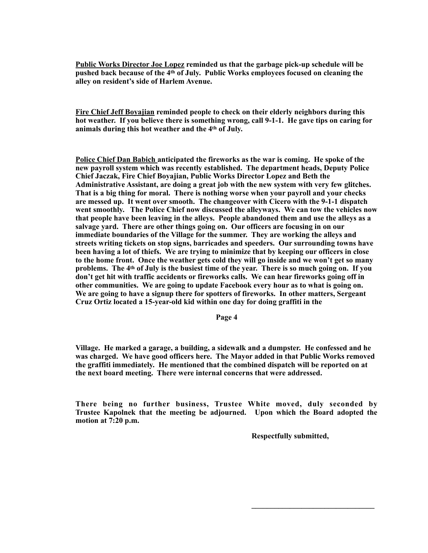**Public Works Director Joe Lopez reminded us that the garbage pick-up schedule will be pushed back because of the 4th of July. Public Works employees focused on cleaning the alley on resident's side of Harlem Avenue.** 

**Fire Chief Jeff Boyajian reminded people to check on their elderly neighbors during this hot weather. If you believe there is something wrong, call 9-1-1. He gave tips on caring for animals during this hot weather and the 4th of July.** 

**Police Chief Dan Babich anticipated the fireworks as the war is coming. He spoke of the new payroll system which was recently established. The department heads, Deputy Police Chief Jaczak, Fire Chief Boyajian, Public Works Director Lopez and Beth the Administrative Assistant, are doing a great job with the new system with very few glitches. That is a big thing for moral. There is nothing worse when your payroll and your checks are messed up. It went over smooth. The changeover with Cicero with the 9-1-1 dispatch went smoothly. The Police Chief now discussed the alleyways. We can tow the vehicles now that people have been leaving in the alleys. People abandoned them and use the alleys as a salvage yard. There are other things going on. Our officers are focusing in on our immediate boundaries of the Village for the summer. They are working the alleys and streets writing tickets on stop signs, barricades and speeders. Our surrounding towns have been having a lot of thiefs. We are trying to minimize that by keeping our officers in close to the home front. Once the weather gets cold they will go inside and we won't get so many problems. The 4th of July is the busiest time of the year. There is so much going on. If you don't get hit with traffic accidents or fireworks calls. We can hear fireworks going off in other communities. We are going to update Facebook every hour as to what is going on. We are going to have a signup there for spotters of fireworks. In other matters, Sergeant Cruz Ortiz located a 15-year-old kid within one day for doing graffiti in the** 

**Page 4** 

**Village. He marked a garage, a building, a sidewalk and a dumpster. He confessed and he was charged. We have good officers here. The Mayor added in that Public Works removed the graffiti immediately. He mentioned that the combined dispatch will be reported on at the next board meeting. There were internal concerns that were addressed.** 

**There being no further business, Trustee White moved, duly seconded by Trustee Kapolnek that the meeting be adjourned. Upon which the Board adopted the motion at 7:20 p.m.** 

 $\mathcal{L}_\mathcal{L} = \mathcal{L}_\mathcal{L} = \mathcal{L}_\mathcal{L} = \mathcal{L}_\mathcal{L} = \mathcal{L}_\mathcal{L} = \mathcal{L}_\mathcal{L} = \mathcal{L}_\mathcal{L} = \mathcal{L}_\mathcal{L} = \mathcal{L}_\mathcal{L} = \mathcal{L}_\mathcal{L} = \mathcal{L}_\mathcal{L} = \mathcal{L}_\mathcal{L} = \mathcal{L}_\mathcal{L} = \mathcal{L}_\mathcal{L} = \mathcal{L}_\mathcal{L} = \mathcal{L}_\mathcal{L} = \mathcal{L}_\mathcal{L}$ 

 **Respectfully submitted,**